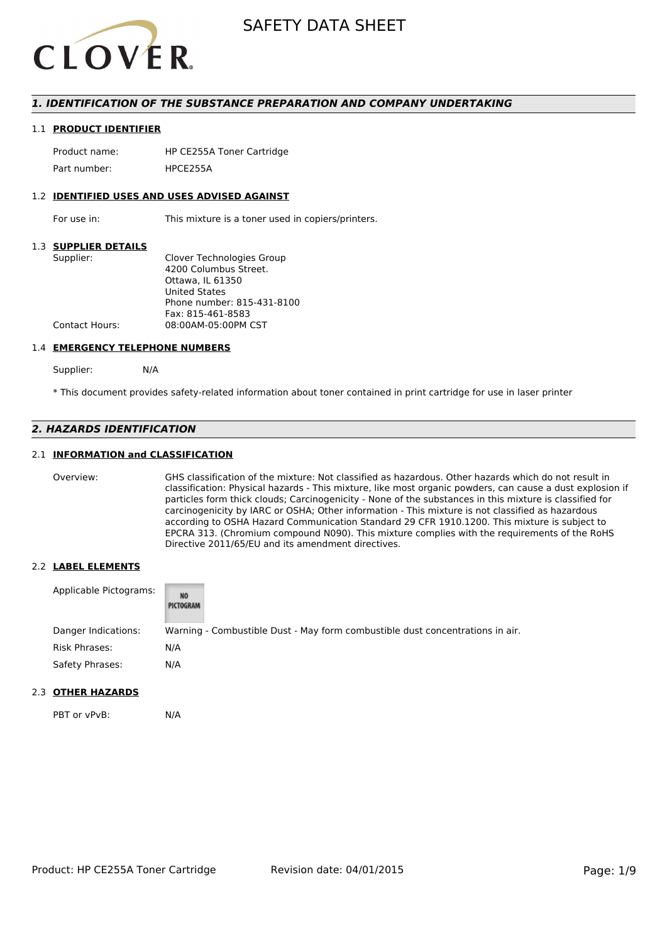

#### *1. IDENTIFICATION OF THE SUBSTANCE PREPARATION AND COMPANY UNDERTAKING*

#### 1.1 **PRODUCT IDENTIFIER**

Product name: HP CE255A Toner Cartridge Part number: HPCF255A

#### 1.2 **IDENTIFIED USES AND USES ADVISED AGAINST**

For use in: This mixture is a toner used in copiers/printers.

#### 1.3 **SUPPLIER DETAILS**

| Supplier:             | Clover Technologies Group  |
|-----------------------|----------------------------|
|                       | 4200 Columbus Street.      |
|                       | Ottawa. IL 61350           |
|                       | <b>United States</b>       |
|                       | Phone number: 815-431-8100 |
|                       | Fax: 815-461-8583          |
| <b>Contact Hours:</b> | 08:00AM-05:00PM CST        |
|                       |                            |

#### 1.4 **EMERGENCY TELEPHONE NUMBERS**

Supplier: N/A

\* This document provides safety-related information about toner contained in print cartridge for use in laser printer

#### *2. HAZARDS IDENTIFICATION*

#### 2.1 **INFORMATION and CLASSIFICATION**

Overview: GHS classification of the mixture: Not classified as hazardous. Other hazards which do not result in classification: Physical hazards - This mixture, like most organic powders, can cause a dust explosion if particles form thick clouds; Carcinogenicity - None of the substances in this mixture is classified for carcinogenicity by IARC or OSHA; Other information - This mixture is not classified as hazardous according to OSHA Hazard Communication Standard 29 CFR 1910.1200. This mixture is subject to EPCRA 313. (Chromium compound N090). This mixture complies with the requirements of the RoHS Directive 2011/65/EU and its amendment directives.

#### 2.2 **LABEL ELEMENTS**

| Applicable Pictograms: | NO<br>PICTOGRAM |                                                                               |
|------------------------|-----------------|-------------------------------------------------------------------------------|
| Danger Indications:    |                 | Warning - Combustible Dust - May form combustible dust concentrations in air. |
| Risk Phrases:          | N/A             |                                                                               |
| Safety Phrases:        | N/A             |                                                                               |

#### 2.3 **OTHER HAZARDS**

PBT or vPvB: N/A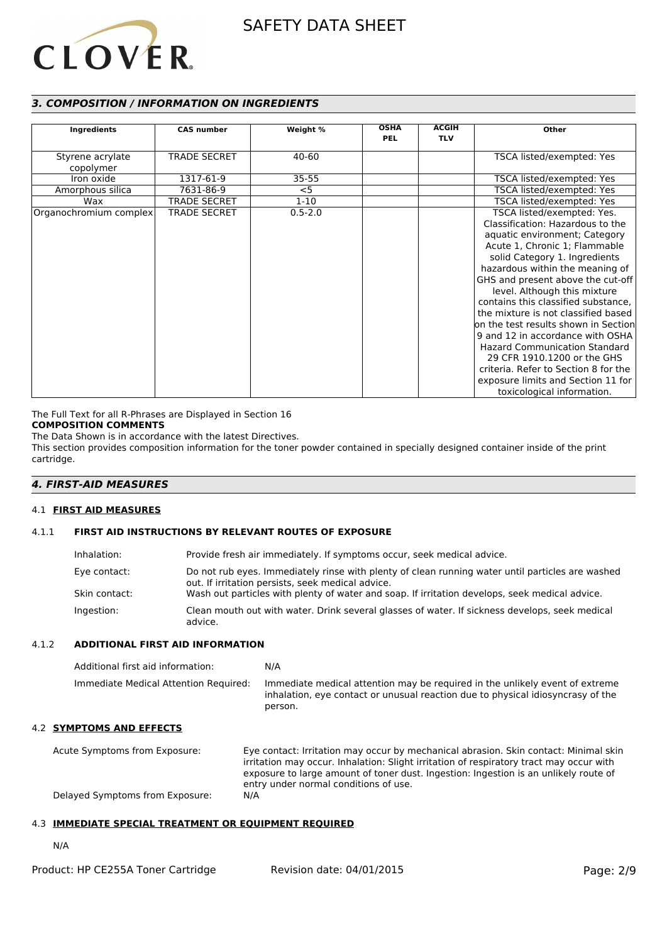# **CLOVER**

#### *3. COMPOSITION / INFORMATION ON INGREDIENTS*

|                        |                     |             | <b>OSHA</b> | <b>ACGIH</b> |                                      |
|------------------------|---------------------|-------------|-------------|--------------|--------------------------------------|
| Ingredients            | <b>CAS number</b>   | Weight %    | <b>PEL</b>  | <b>TLV</b>   | <b>Other</b>                         |
|                        |                     |             |             |              |                                      |
| Styrene acrylate       | <b>TRADE SECRET</b> | 40-60       |             |              | TSCA listed/exempted: Yes            |
| copolymer              |                     |             |             |              |                                      |
| Iron oxide             | 1317-61-9           | $35 - 55$   |             |              | TSCA listed/exempted: Yes            |
| Amorphous silica       | 7631-86-9           | $<$ 5       |             |              | TSCA listed/exempted: Yes            |
| Wax                    | <b>TRADE SECRET</b> | $1 - 10$    |             |              | TSCA listed/exempted: Yes            |
| Organochromium complex | <b>TRADE SECRET</b> | $0.5 - 2.0$ |             |              | TSCA listed/exempted: Yes.           |
|                        |                     |             |             |              | Classification: Hazardous to the     |
|                        |                     |             |             |              | aquatic environment; Category        |
|                        |                     |             |             |              | Acute 1, Chronic 1; Flammable        |
|                        |                     |             |             |              | solid Category 1. Ingredients        |
|                        |                     |             |             |              | hazardous within the meaning of      |
|                        |                     |             |             |              | GHS and present above the cut-off    |
|                        |                     |             |             |              | level. Although this mixture         |
|                        |                     |             |             |              | contains this classified substance,  |
|                        |                     |             |             |              | the mixture is not classified based  |
|                        |                     |             |             |              | on the test results shown in Section |
|                        |                     |             |             |              | 9 and 12 in accordance with OSHA     |
|                        |                     |             |             |              | <b>Hazard Communication Standard</b> |
|                        |                     |             |             |              | 29 CFR 1910.1200 or the GHS          |
|                        |                     |             |             |              | criteria. Refer to Section 8 for the |
|                        |                     |             |             |              | exposure limits and Section 11 for   |
|                        |                     |             |             |              | toxicological information.           |

The Full Text for all R-Phrases are Displayed in Section 16

### **COMPOSITION COMMENTS**

The Data Shown is in accordance with the latest Directives.

This section provides composition information for the toner powder contained in specially designed container inside of the print cartridge.

#### *4. FIRST-AID MEASURES*

#### 4.1 **FIRST AID MEASURES**

#### 4.1.1 **FIRST AID INSTRUCTIONS BY RELEVANT ROUTES OF EXPOSURE**

| Inhalation:   | Provide fresh air immediately. If symptoms occur, seek medical advice.                                                                                |
|---------------|-------------------------------------------------------------------------------------------------------------------------------------------------------|
| Eye contact:  | Do not rub eyes. Immediately rinse with plenty of clean running water until particles are washed<br>out. If irritation persists, seek medical advice. |
| Skin contact: | Wash out particles with plenty of water and soap. If irritation develops, seek medical advice.                                                        |
| Ingestion:    | Clean mouth out with water. Drink several glasses of water. If sickness develops, seek medical<br>advice.                                             |

#### 4.1.2 **ADDITIONAL FIRST AID INFORMATION**

| Additional first aid information:     | N/A                                                                                                                                                                        |
|---------------------------------------|----------------------------------------------------------------------------------------------------------------------------------------------------------------------------|
| Immediate Medical Attention Required: | Immediate medical attention may be required in the unlikely event of extreme<br>inhalation, eye contact or unusual reaction due to physical idiosyncrasy of the<br>person. |

#### 4.2 **SYMPTOMS AND EFFECTS**

Acute Symptoms from Exposure: Eye contact: Irritation may occur by mechanical abrasion. Skin contact: Minimal skin irritation may occur. Inhalation: Slight irritation of respiratory tract may occur with exposure to large amount of toner dust. Ingestion: Ingestion is an unlikely route of entry under normal conditions of use. Delayed Symptoms from Exposure: N/A

#### 4.3 **IMMEDIATE SPECIAL TREATMENT OR EQUIPMENT REQUIRED**

N/A

| Product: HP CE255A Toner Cartridge | Revision date: 04/01/2015 | Page: 2/9 |
|------------------------------------|---------------------------|-----------|
|------------------------------------|---------------------------|-----------|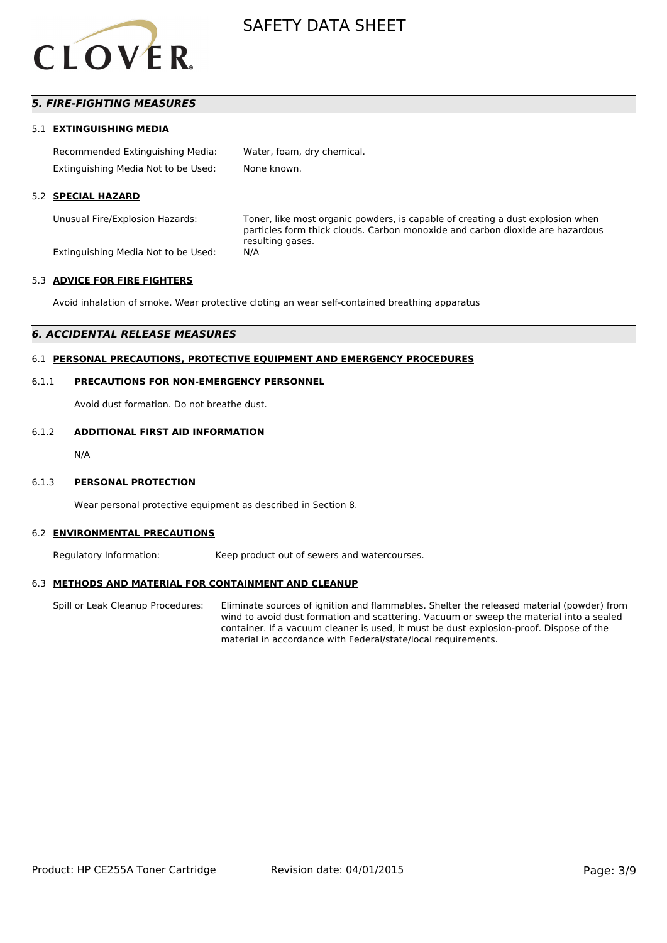

#### *5. FIRE-FIGHTING MEASURES*

#### 5.1 **EXTINGUISHING MEDIA**

| Recommended Extinguishing Media:    | Water, foam, dry chemical. |
|-------------------------------------|----------------------------|
| Extinguishing Media Not to be Used: | None known.                |

#### 5.2 **SPECIAL HAZARD**

Unusual Fire/Explosion Hazards: Toner, like most organic powders, is capable of creating a dust explosion when particles form thick clouds. Carbon monoxide and carbon dioxide are hazardous resulting gases.

Extinguishing Media Not to be Used: N/A

#### 5.3 **ADVICE FOR FIRE FIGHTERS**

Avoid inhalation of smoke. Wear protective cloting an wear self-contained breathing apparatus

#### *6. ACCIDENTAL RELEASE MEASURES*

#### 6.1 **PERSONAL PRECAUTIONS, PROTECTIVE EQUIPMENT AND EMERGENCY PROCEDURES**

#### 6.1.1 **PRECAUTIONS FOR NON-EMERGENCY PERSONNEL**

Avoid dust formation. Do not breathe dust.

#### 6.1.2 **ADDITIONAL FIRST AID INFORMATION**

N/A

#### 6.1.3 **PERSONAL PROTECTION**

Wear personal protective equipment as described in Section 8.

#### 6.2 **ENVIRONMENTAL PRECAUTIONS**

Regulatory Information: Keep product out of sewers and watercourses.

#### 6.3 **METHODS AND MATERIAL FOR CONTAINMENT AND CLEANUP**

Spill or Leak Cleanup Procedures: Eliminate sources of ignition and flammables. Shelter the released material (powder) from wind to avoid dust formation and scattering. Vacuum or sweep the material into a sealed container. If a vacuum cleaner is used, it must be dust explosion-proof. Dispose of the material in accordance with Federal/state/local requirements.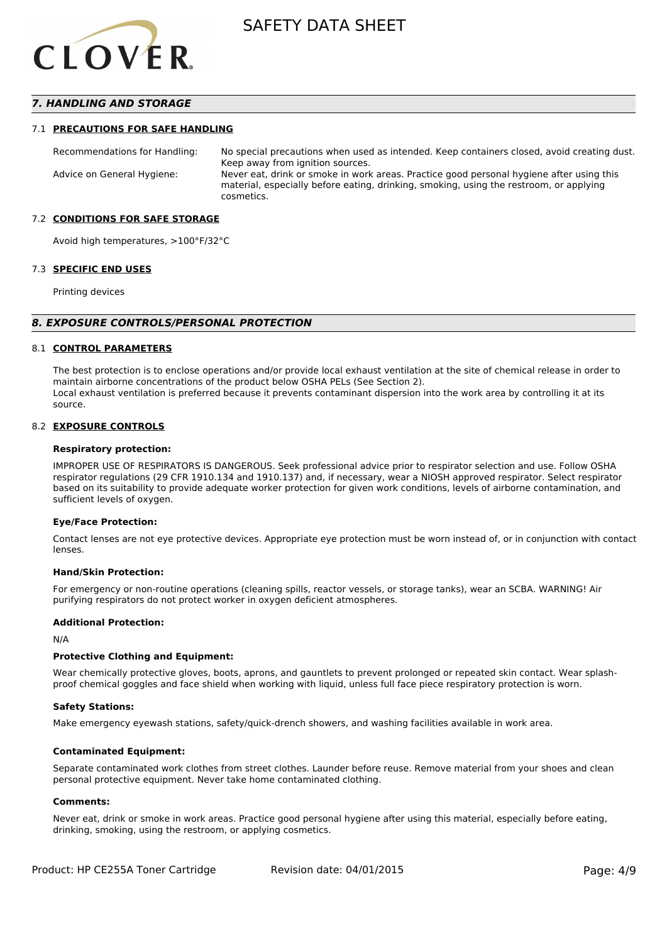

#### *7. HANDLING AND STORAGE*

#### 7.1 **PRECAUTIONS FOR SAFE HANDLING**

Recommendations for Handling: No special precautions when used as intended. Keep containers closed, avoid creating dust. Keep away from ignition sources. Advice on General Hygiene: Never eat, drink or smoke in work areas. Practice good personal hygiene after using this material, especially before eating, drinking, smoking, using the restroom, or applying cosmetics.

#### 7.2 **CONDITIONS FOR SAFE STORAGE**

Avoid high temperatures, >100°F/32°C

#### 7.3 **SPECIFIC END USES**

Printing devices

#### *8. EXPOSURE CONTROLS/PERSONAL PROTECTION*

#### 8.1 **CONTROL PARAMETERS**

The best protection is to enclose operations and/or provide local exhaust ventilation at the site of chemical release in order to maintain airborne concentrations of the product below OSHA PELs (See Section 2). Local exhaust ventilation is preferred because it prevents contaminant dispersion into the work area by controlling it at its source.

#### 8.2 **EXPOSURE CONTROLS**

#### **Respiratory protection:**

IMPROPER USE OF RESPIRATORS IS DANGEROUS. Seek professional advice prior to respirator selection and use. Follow OSHA respirator regulations (29 CFR 1910.134 and 1910.137) and, if necessary, wear a NIOSH approved respirator. Select respirator based on its suitability to provide adequate worker protection for given work conditions, levels of airborne contamination, and sufficient levels of oxygen.

#### **Eye/Face Protection:**

Contact lenses are not eye protective devices. Appropriate eye protection must be worn instead of, or in conjunction with contact lenses.

#### **Hand/Skin Protection:**

For emergency or non-routine operations (cleaning spills, reactor vessels, or storage tanks), wear an SCBA. WARNING! Air purifying respirators do not protect worker in oxygen deficient atmospheres.

#### **Additional Protection:**

N/A

#### **Protective Clothing and Equipment:**

Wear chemically protective gloves, boots, aprons, and gauntlets to prevent prolonged or repeated skin contact. Wear splashproof chemical goggles and face shield when working with liquid, unless full face piece respiratory protection is worn.

#### **Safety Stations:**

Make emergency eyewash stations, safety/quick-drench showers, and washing facilities available in work area.

#### **Contaminated Equipment:**

Separate contaminated work clothes from street clothes. Launder before reuse. Remove material from your shoes and clean personal protective equipment. Never take home contaminated clothing.

#### **Comments:**

Never eat, drink or smoke in work areas. Practice good personal hygiene after using this material, especially before eating, drinking, smoking, using the restroom, or applying cosmetics.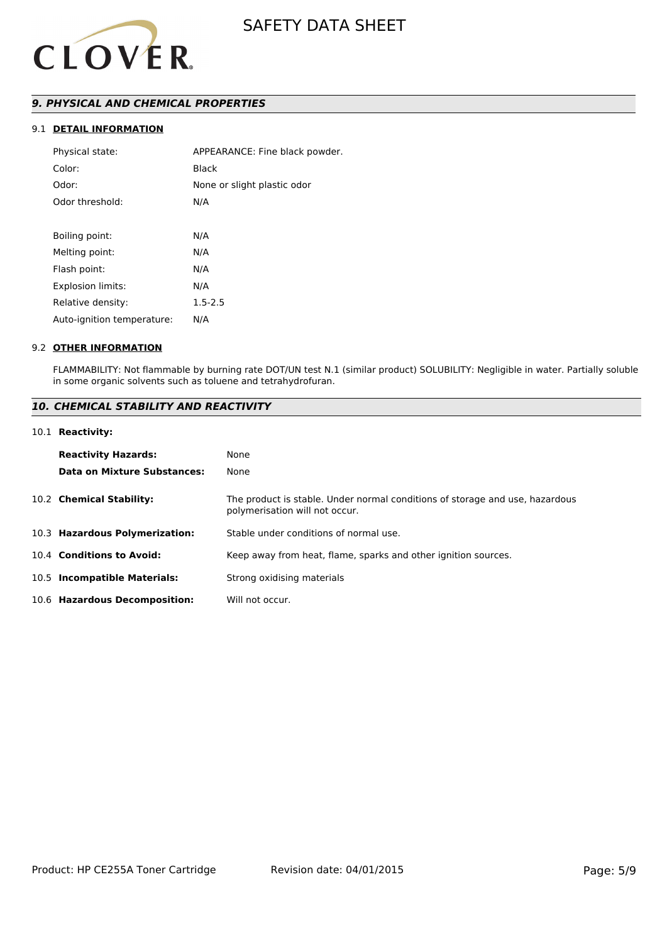

#### *9. PHYSICAL AND CHEMICAL PROPERTIES*

#### 9.1 **DETAIL INFORMATION**

| Physical state:            | APPEARANCE: Fine black powder. |
|----------------------------|--------------------------------|
| Color:                     | Black                          |
| Odor:                      | None or slight plastic odor    |
| Odor threshold:            | N/A                            |
|                            |                                |
| Boiling point:             | N/A                            |
| Melting point:             | N/A                            |
| Flash point:               | N/A                            |
| <b>Explosion limits:</b>   | N/A                            |
| Relative density:          | $1.5 - 2.5$                    |
| Auto-ignition temperature: | N/A                            |
|                            |                                |

#### 9.2 **OTHER INFORMATION**

FLAMMABILITY: Not flammable by burning rate DOT/UN test N.1 (similar product) SOLUBILITY: Negligible in water. Partially soluble in some organic solvents such as toluene and tetrahydrofuran.

#### *10. CHEMICAL STABILITY AND REACTIVITY*

#### 10.1 **Reactivity:**

| <b>Reactivity Hazards:</b>     | None                                                                                                           |
|--------------------------------|----------------------------------------------------------------------------------------------------------------|
| Data on Mixture Substances:    | None                                                                                                           |
| 10.2 Chemical Stability:       | The product is stable. Under normal conditions of storage and use, hazardous<br>polymerisation will not occur. |
| 10.3 Hazardous Polymerization: | Stable under conditions of normal use.                                                                         |
| 10.4 Conditions to Avoid:      | Keep away from heat, flame, sparks and other ignition sources.                                                 |
| 10.5 Incompatible Materials:   | Strong oxidising materials                                                                                     |
| 10.6 Hazardous Decomposition:  | Will not occur.                                                                                                |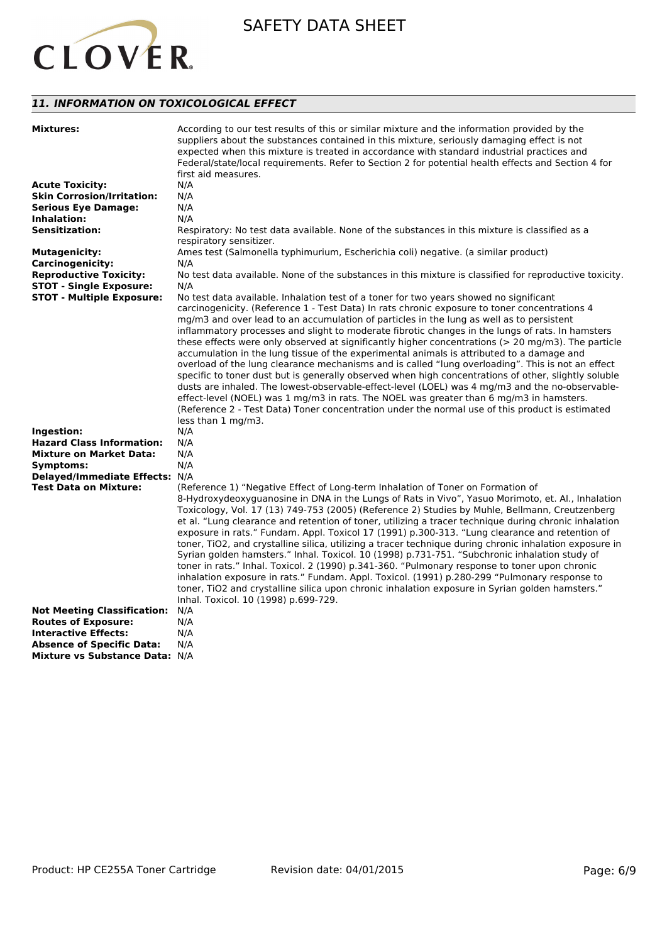

### *11. INFORMATION ON TOXICOLOGICAL EFFECT*

| <b>Mixtures:</b>                                | According to our test results of this or similar mixture and the information provided by the<br>suppliers about the substances contained in this mixture, seriously damaging effect is not<br>expected when this mixture is treated in accordance with standard industrial practices and<br>Federal/state/local requirements. Refer to Section 2 for potential health effects and Section 4 for<br>first aid measures.                                                                                                                                                                                                                                                                                                                                                                                                                                                                                                                                                                                                                                                                                                         |
|-------------------------------------------------|--------------------------------------------------------------------------------------------------------------------------------------------------------------------------------------------------------------------------------------------------------------------------------------------------------------------------------------------------------------------------------------------------------------------------------------------------------------------------------------------------------------------------------------------------------------------------------------------------------------------------------------------------------------------------------------------------------------------------------------------------------------------------------------------------------------------------------------------------------------------------------------------------------------------------------------------------------------------------------------------------------------------------------------------------------------------------------------------------------------------------------|
| <b>Acute Toxicity:</b>                          | N/A                                                                                                                                                                                                                                                                                                                                                                                                                                                                                                                                                                                                                                                                                                                                                                                                                                                                                                                                                                                                                                                                                                                            |
| <b>Skin Corrosion/Irritation:</b>               | N/A                                                                                                                                                                                                                                                                                                                                                                                                                                                                                                                                                                                                                                                                                                                                                                                                                                                                                                                                                                                                                                                                                                                            |
| <b>Serious Eye Damage:</b>                      | N/A                                                                                                                                                                                                                                                                                                                                                                                                                                                                                                                                                                                                                                                                                                                                                                                                                                                                                                                                                                                                                                                                                                                            |
| Inhalation:                                     | N/A                                                                                                                                                                                                                                                                                                                                                                                                                                                                                                                                                                                                                                                                                                                                                                                                                                                                                                                                                                                                                                                                                                                            |
| <b>Sensitization:</b>                           | Respiratory: No test data available. None of the substances in this mixture is classified as a<br>respiratory sensitizer.                                                                                                                                                                                                                                                                                                                                                                                                                                                                                                                                                                                                                                                                                                                                                                                                                                                                                                                                                                                                      |
| <b>Mutagenicity:</b><br><b>Carcinogenicity:</b> | Ames test (Salmonella typhimurium, Escherichia coli) negative. (a similar product)<br>N/A                                                                                                                                                                                                                                                                                                                                                                                                                                                                                                                                                                                                                                                                                                                                                                                                                                                                                                                                                                                                                                      |
| <b>Reproductive Toxicity:</b>                   | No test data available. None of the substances in this mixture is classified for reproductive toxicity.                                                                                                                                                                                                                                                                                                                                                                                                                                                                                                                                                                                                                                                                                                                                                                                                                                                                                                                                                                                                                        |
| <b>STOT - Single Exposure:</b>                  |                                                                                                                                                                                                                                                                                                                                                                                                                                                                                                                                                                                                                                                                                                                                                                                                                                                                                                                                                                                                                                                                                                                                |
|                                                 | N/A                                                                                                                                                                                                                                                                                                                                                                                                                                                                                                                                                                                                                                                                                                                                                                                                                                                                                                                                                                                                                                                                                                                            |
| <b>STOT - Multiple Exposure:</b>                | No test data available. Inhalation test of a toner for two years showed no significant<br>carcinogenicity. (Reference 1 - Test Data) In rats chronic exposure to toner concentrations 4<br>mg/m3 and over lead to an accumulation of particles in the lung as well as to persistent<br>inflammatory processes and slight to moderate fibrotic changes in the lungs of rats. In hamsters<br>these effects were only observed at significantly higher concentrations (> 20 mg/m3). The particle<br>accumulation in the lung tissue of the experimental animals is attributed to a damage and<br>overload of the lung clearance mechanisms and is called "lung overloading". This is not an effect<br>specific to toner dust but is generally observed when high concentrations of other, slightly soluble<br>dusts are inhaled. The lowest-observable-effect-level (LOEL) was 4 mg/m3 and the no-observable-<br>effect-level (NOEL) was 1 mg/m3 in rats. The NOEL was greater than 6 mg/m3 in hamsters.<br>(Reference 2 - Test Data) Toner concentration under the normal use of this product is estimated<br>less than 1 mg/m3. |
| Ingestion:                                      | N/A                                                                                                                                                                                                                                                                                                                                                                                                                                                                                                                                                                                                                                                                                                                                                                                                                                                                                                                                                                                                                                                                                                                            |
| <b>Hazard Class Information:</b>                | N/A                                                                                                                                                                                                                                                                                                                                                                                                                                                                                                                                                                                                                                                                                                                                                                                                                                                                                                                                                                                                                                                                                                                            |
| <b>Mixture on Market Data:</b>                  | N/A                                                                                                                                                                                                                                                                                                                                                                                                                                                                                                                                                                                                                                                                                                                                                                                                                                                                                                                                                                                                                                                                                                                            |
| Symptoms:                                       | N/A                                                                                                                                                                                                                                                                                                                                                                                                                                                                                                                                                                                                                                                                                                                                                                                                                                                                                                                                                                                                                                                                                                                            |
| Delayed/Immediate Effects: N/A                  |                                                                                                                                                                                                                                                                                                                                                                                                                                                                                                                                                                                                                                                                                                                                                                                                                                                                                                                                                                                                                                                                                                                                |
| <b>Test Data on Mixture:</b>                    | (Reference 1) "Negative Effect of Long-term Inhalation of Toner on Formation of<br>8-Hydroxydeoxyguanosine in DNA in the Lungs of Rats in Vivo", Yasuo Morimoto, et. Al., Inhalation<br>Toxicology, Vol. 17 (13) 749-753 (2005) (Reference 2) Studies by Muhle, Bellmann, Creutzenberg<br>et al. "Lung clearance and retention of toner, utilizing a tracer technique during chronic inhalation<br>exposure in rats." Fundam. Appl. Toxicol 17 (1991) p.300-313. "Lung clearance and retention of<br>toner, TiO2, and crystalline silica, utilizing a tracer technique during chronic inhalation exposure in<br>Syrian golden hamsters." Inhal. Toxicol. 10 (1998) p.731-751. "Subchronic inhalation study of<br>toner in rats." Inhal. Toxicol. 2 (1990) p.341-360. "Pulmonary response to toner upon chronic<br>inhalation exposure in rats." Fundam. Appl. Toxicol. (1991) p.280-299 "Pulmonary response to<br>toner, TiO2 and crystalline silica upon chronic inhalation exposure in Syrian golden hamsters."<br>Inhal. Toxicol. 10 (1998) p.699-729.                                                                      |
| <b>Not Meeting Classification:</b>              | N/A                                                                                                                                                                                                                                                                                                                                                                                                                                                                                                                                                                                                                                                                                                                                                                                                                                                                                                                                                                                                                                                                                                                            |
| <b>Routes of Exposure:</b>                      | N/A                                                                                                                                                                                                                                                                                                                                                                                                                                                                                                                                                                                                                                                                                                                                                                                                                                                                                                                                                                                                                                                                                                                            |
| <b>Interactive Effects:</b>                     | N/A                                                                                                                                                                                                                                                                                                                                                                                                                                                                                                                                                                                                                                                                                                                                                                                                                                                                                                                                                                                                                                                                                                                            |
| <b>Absence of Specific Data:</b>                | N/A                                                                                                                                                                                                                                                                                                                                                                                                                                                                                                                                                                                                                                                                                                                                                                                                                                                                                                                                                                                                                                                                                                                            |
| <b>Mixture vs Substance Data: N/A</b>           |                                                                                                                                                                                                                                                                                                                                                                                                                                                                                                                                                                                                                                                                                                                                                                                                                                                                                                                                                                                                                                                                                                                                |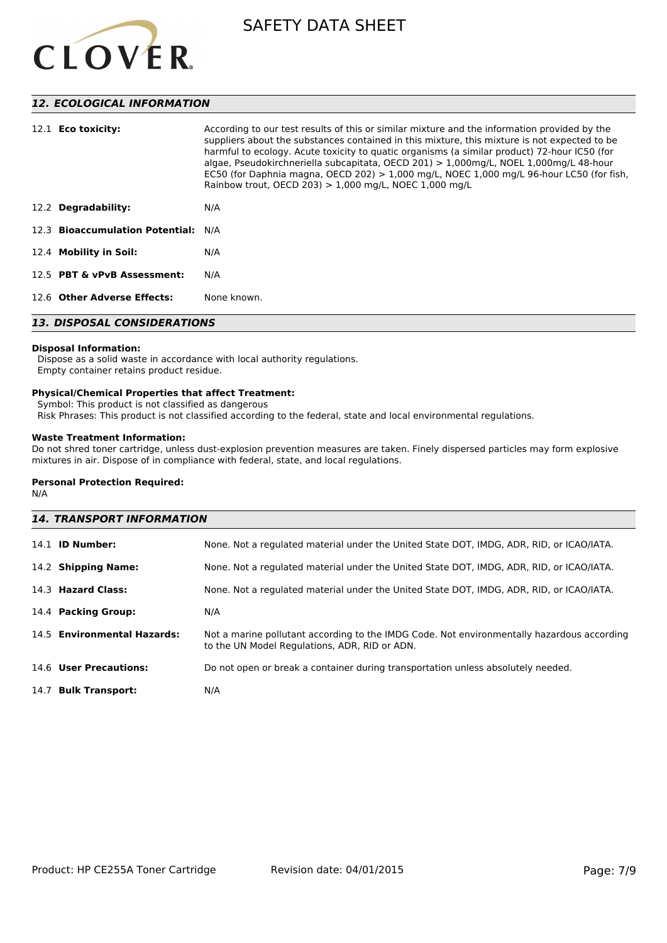

#### *12. ECOLOGICAL INFORMATION*

| 12.2 Degradability:                | harmful to ecology. Acute toxicity to quatic organisms (a similar product) 72-hour IC50 (for<br>algae, Pseudokirchneriella subcapitata, OECD 201) > 1,000mg/L, NOEL 1,000mg/L 48-hour<br>EC50 (for Daphnia magna, OECD 202) $> 1,000$ mg/L, NOEC 1,000 mg/L 96-hour LC50 (for fish,<br>Rainbow trout, OECD 203) $> 1,000$ mg/L, NOEC 1,000 mg/L<br>N/A |  |
|------------------------------------|--------------------------------------------------------------------------------------------------------------------------------------------------------------------------------------------------------------------------------------------------------------------------------------------------------------------------------------------------------|--|
| 12.3 Bioaccumulation Potential:    | N/A                                                                                                                                                                                                                                                                                                                                                    |  |
| 12.4 Mobility in Soil:             | N/A                                                                                                                                                                                                                                                                                                                                                    |  |
| 12.5 PBT & vPvB Assessment:        | N/A                                                                                                                                                                                                                                                                                                                                                    |  |
| 12.6 Other Adverse Effects:        | None known.                                                                                                                                                                                                                                                                                                                                            |  |
| <b>13. DISPOSAL CONSIDERATIONS</b> |                                                                                                                                                                                                                                                                                                                                                        |  |

## **Disposal Information:**

 Dispose as a solid waste in accordance with local authority regulations. Empty container retains product residue.

#### **Physical/Chemical Properties that affect Treatment:**

Symbol: This product is not classified as dangerous

Risk Phrases: This product is not classified according to the federal, state and local environmental regulations.

#### **Waste Treatment Information:**

Do not shred toner cartridge, unless dust-explosion prevention measures are taken. Finely dispersed particles may form explosive mixtures in air. Dispose of in compliance with federal, state, and local regulations.

#### **Personal Protection Required:**

N/A

| <b>14. TRANSPORT INFORMATION</b> |                                                                                                                                             |  |
|----------------------------------|---------------------------------------------------------------------------------------------------------------------------------------------|--|
| $14.1$ ID Number:                | None. Not a regulated material under the United State DOT, IMDG, ADR, RID, or ICAO/IATA.                                                    |  |
| 14.2 Shipping Name:              | None. Not a regulated material under the United State DOT, IMDG, ADR, RID, or ICAO/IATA.                                                    |  |
| 14.3 Hazard Class:               | None. Not a regulated material under the United State DOT, IMDG, ADR, RID, or ICAO/IATA.                                                    |  |
| 14.4 Packing Group:              | N/A                                                                                                                                         |  |
| 14.5 Environmental Hazards:      | Not a marine pollutant according to the IMDG Code. Not environmentally hazardous according<br>to the UN Model Regulations, ADR, RID or ADN. |  |
| 14.6 User Precautions:           | Do not open or break a container during transportation unless absolutely needed.                                                            |  |
| 14.7 Bulk Transport:             | N/A                                                                                                                                         |  |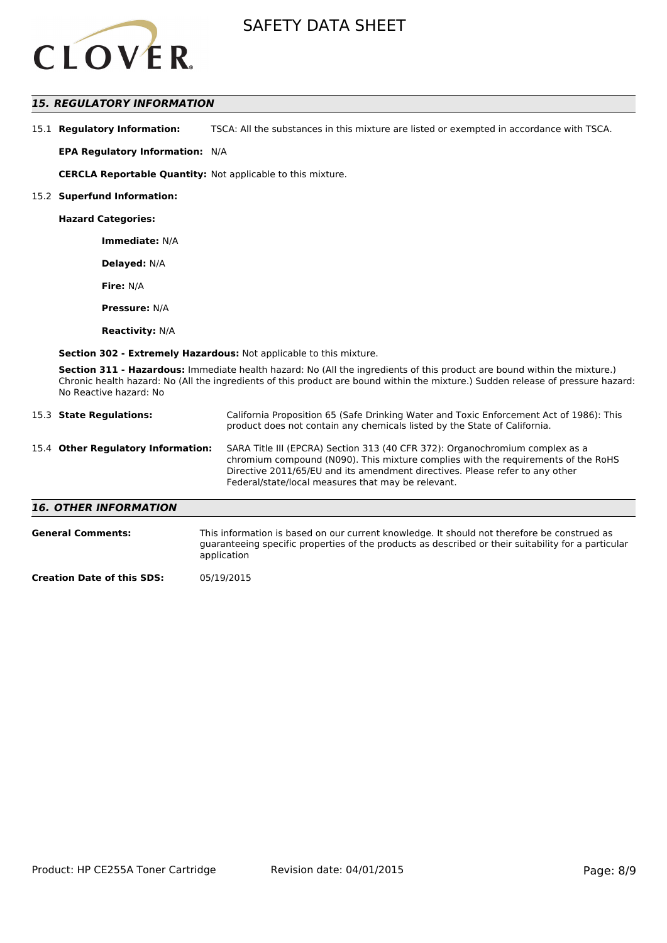

#### *15. REGULATORY INFORMATION*

| 15.1 Regulatory Information: | TSCA: All the substances in this mixture are listed or exempted in accordance with TSCA. |
|------------------------------|------------------------------------------------------------------------------------------|
|------------------------------|------------------------------------------------------------------------------------------|

**EPA Regulatory Information:** N/A

**CERCLA Reportable Quantity:** Not applicable to this mixture.

#### 15.2 **Superfund Information:**

**Hazard Categories:**

**Immediate:** N/A

**Delayed:** N/A

**Fire:** N/A

**Pressure:** N/A

**Reactivity:** N/A

**Section 302 - Extremely Hazardous:** Not applicable to this mixture.

**Section 311 - Hazardous:** Immediate health hazard: No (All the ingredients of this product are bound within the mixture.) Chronic health hazard: No (All the ingredients of this product are bound within the mixture.) Sudden release of pressure hazard: No Reactive hazard: No

| 15.3 State Regulations:            | California Proposition 65 (Safe Drinking Water and Toxic Enforcement Act of 1986): This<br>product does not contain any chemicals listed by the State of California.                                                                                                                                    |
|------------------------------------|---------------------------------------------------------------------------------------------------------------------------------------------------------------------------------------------------------------------------------------------------------------------------------------------------------|
| 15.4 Other Regulatory Information: | SARA Title III (EPCRA) Section 313 (40 CFR 372): Organochromium complex as a<br>chromium compound (N090). This mixture complies with the requirements of the RoHS<br>Directive 2011/65/EU and its amendment directives. Please refer to any other<br>Federal/state/local measures that may be relevant. |
| <b>16. OTHER INFORMATION</b>       |                                                                                                                                                                                                                                                                                                         |

| <b>General Comments:</b> | This information is based on our current knowledge. It should not therefore be construed as<br>guaranteeing specific properties of the products as described or their suitability for a particular<br>application |
|--------------------------|-------------------------------------------------------------------------------------------------------------------------------------------------------------------------------------------------------------------|
| - -                      |                                                                                                                                                                                                                   |

**Creation Date of this SDS:** 05/19/2015